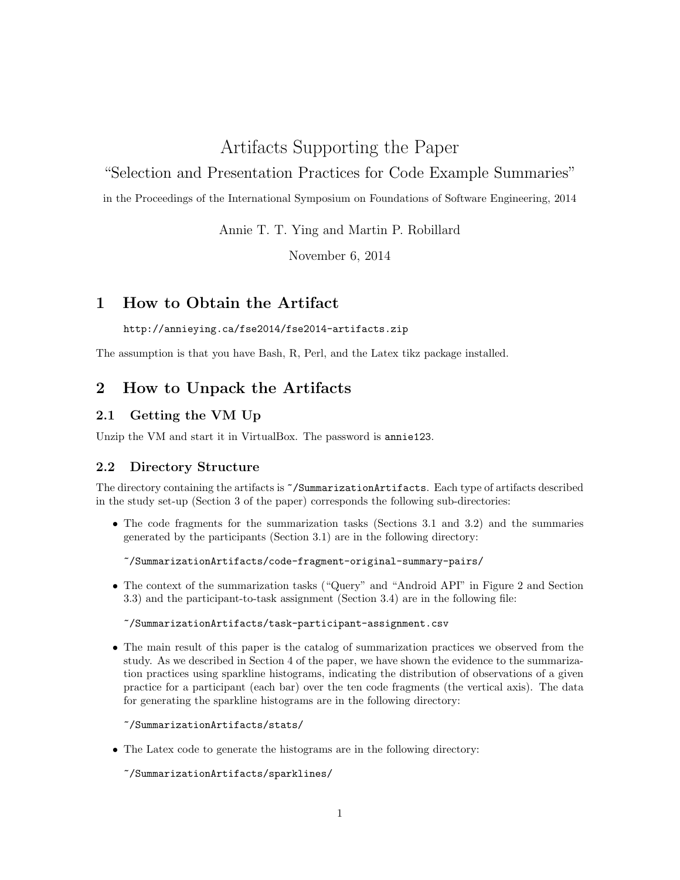# Artifacts Supporting the Paper

# "Selection and Presentation Practices for Code Example Summaries"

in the Proceedings of the International Symposium on Foundations of Software Engineering, 2014

Annie T. T. Ying and Martin P. Robillard

November 6, 2014

# 1 How to Obtain the Artifact

### http://annieying.ca/fse2014/fse2014-artifacts.zip

The assumption is that you have Bash, R, Perl, and the Latex tikz package installed.

# 2 How to Unpack the Artifacts

# 2.1 Getting the VM Up

Unzip the VM and start it in VirtualBox. The password is annie123.

## 2.2 Directory Structure

The directory containing the artifacts is ~/SummarizationArtifacts. Each type of artifacts described in the study set-up (Section 3 of the paper) corresponds the following sub-directories:

• The code fragments for the summarization tasks (Sections 3.1 and 3.2) and the summaries generated by the participants (Section 3.1) are in the following directory:

```
~/SummarizationArtifacts/code-fragment-original-summary-pairs/
```
• The context of the summarization tasks ("Query" and "Android API" in Figure 2 and Section 3.3) and the participant-to-task assignment (Section 3.4) are in the following file:

#### ~/SummarizationArtifacts/task-participant-assignment.csv

• The main result of this paper is the catalog of summarization practices we observed from the study. As we described in Section 4 of the paper, we have shown the evidence to the summarization practices using sparkline histograms, indicating the distribution of observations of a given practice for a participant (each bar) over the ten code fragments (the vertical axis). The data for generating the sparkline histograms are in the following directory:

~/SummarizationArtifacts/stats/

• The Latex code to generate the histograms are in the following directory:

~/SummarizationArtifacts/sparklines/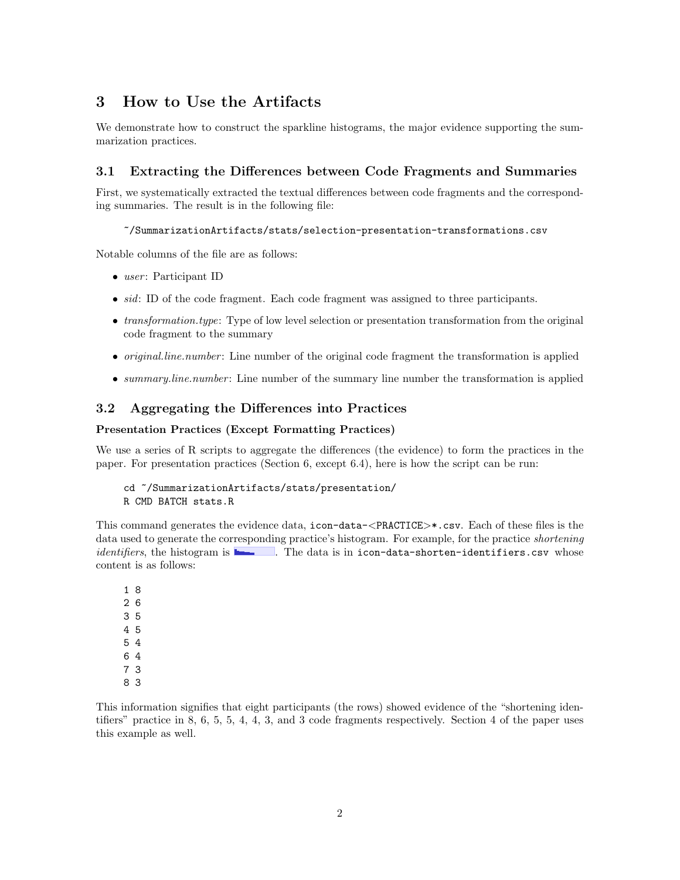# 3 How to Use the Artifacts

We demonstrate how to construct the sparkline histograms, the major evidence supporting the summarization practices.

### 3.1 Extracting the Differences between Code Fragments and Summaries

First, we systematically extracted the textual differences between code fragments and the corresponding summaries. The result is in the following file:

~/SummarizationArtifacts/stats/selection-presentation-transformations.csv

Notable columns of the file are as follows:

- $\bullet$  user: Participant ID
- *sid*: ID of the code fragment. Each code fragment was assigned to three participants.
- *transformation.type*: Type of low level selection or presentation transformation from the original code fragment to the summary
- *original.line.number*: Line number of the original code fragment the transformation is applied
- summary.line.number: Line number of the summary line number the transformation is applied

## 3.2 Aggregating the Differences into Practices

#### Presentation Practices (Except Formatting Practices)

We use a series of R scripts to aggregate the differences (the evidence) to form the practices in the paper. For presentation practices (Section 6, except 6.4), here is how the script can be run:

```
cd ~/SummarizationArtifacts/stats/presentation/
R CMD BATCH stats.R
```
This command generates the evidence data, icon-data-<PRACTICE>\*.csv. Each of these files is the data used to generate the corresponding practice's histogram. For example, for the practice *shortening*  $identifiers$ , the histogram is  $\blacksquare$ . The data is in icon-data-shorten-identifiers.csv whose content is as follows:

This information signifies that eight participants (the rows) showed evidence of the "shortening identifiers" practice in 8, 6, 5, 5, 4, 4, 3, and 3 code fragments respectively. Section 4 of the paper uses this example as well.